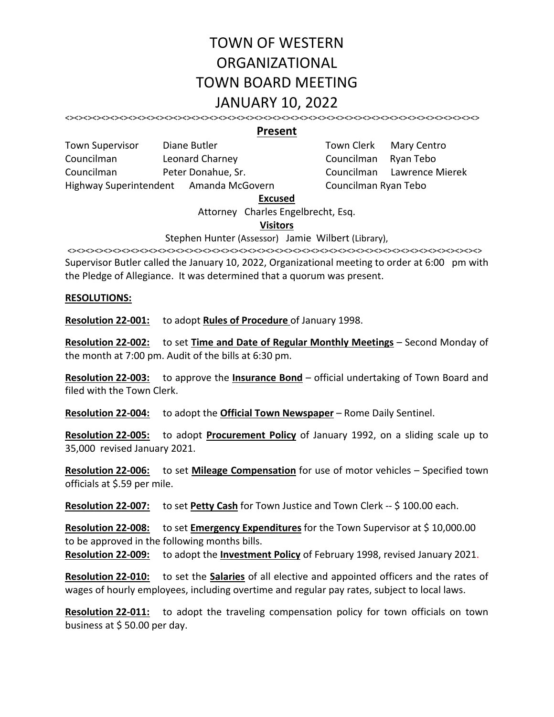# TOWN OF WESTERN ORGANIZATIONAL TOWN BOARD MEETING JANUARY 10, 2022

<><><><><><><><><><><><><><><><><><><><><><><><><><><><><><><><><><><><><><><><><><><><><><>

#### **Present**

| <b>Town Supervisor</b> | Diane Butler                           | Town Clerk Mary Ce   |  |
|------------------------|----------------------------------------|----------------------|--|
| Councilman             | Leonard Charney                        | Councilman Ryan Teb  |  |
| Councilman             | Peter Donahue, Sr.                     | Councilman Lawrenc   |  |
|                        | Highway Superintendent Amanda McGovern | Councilman Ryan Tebo |  |

Town Clerk Mary Centro Councilman Leonard Charney Councilman Ryan Tebo Councilman Lawrence Mierek

#### **Excused**

Attorney Charles Engelbrecht, Esq.

#### **Visitors**

#### Stephen Hunter (Assessor) Jamie Wilbert (Library),

<><><><><><><><><><><><><><><><><><><><><><><><><><><><><><><><><><><><><><><><><><><><><><> Supervisor Butler called the January 10, 2022, Organizational meeting to order at 6:00 pm with the Pledge of Allegiance. It was determined that a quorum was present.

#### **RESOLUTIONS:**

**Resolution 22‐001:** to adopt **Rules of Procedure** of January 1998.

**Resolution 22‐002:** to set **Time and Date of Regular Monthly Meetings** – Second Monday of the month at 7:00 pm. Audit of the bills at 6:30 pm.

**Resolution 22‐003:** to approve the **Insurance Bond** – official undertaking of Town Board and filed with the Town Clerk.

**Resolution 22‐004:** to adopt the **Official Town Newspaper** – Rome Daily Sentinel.

**Resolution 22-005:** to adopt **Procurement Policy** of January 1992, on a sliding scale up to 35,000 revised January 2021.

**Resolution 22‐006:** to set **Mileage Compensation** for use of motor vehicles – Specified town officials at \$.59 per mile.

**Resolution 22‐007:** to set **Petty Cash** for Town Justice and Town Clerk ‐‐ \$ 100.00 each.

**Resolution 22‐008:** to set **Emergency Expenditures** for the Town Supervisor at \$ 10,000.00 to be approved in the following months bills.

**Resolution 22‐009:** to adopt the **Investment Policy** of February 1998, revised January 2021.

**Resolution 22‐010:** to set the **Salaries** of all elective and appointed officers and the rates of wages of hourly employees, including overtime and regular pay rates, subject to local laws.

Resolution 22-011: to adopt the traveling compensation policy for town officials on town business at \$ 50.00 per day.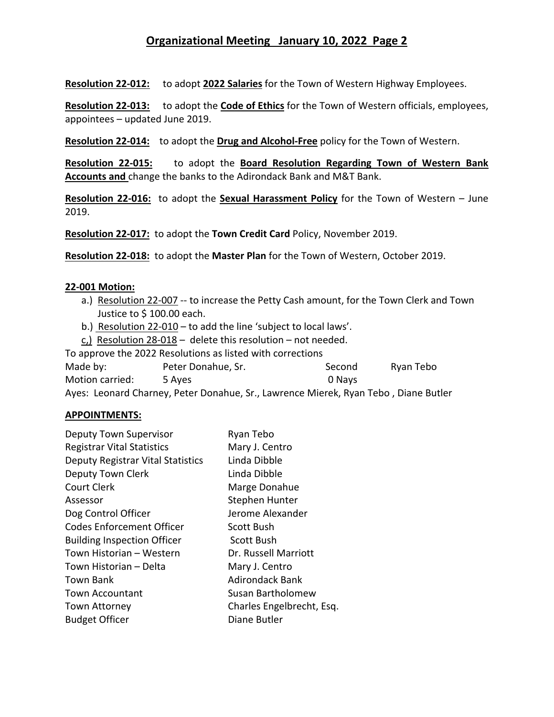# **Organizational Meeting January 10, 2022 Page 2**

**Resolution 22‐012:** to adopt **2022 Salaries** for the Town of Western Highway Employees.

**Resolution 22‐013:** to adopt the **Code of Ethics** for the Town of Western officials, employees, appointees – updated June 2019.

Resolution 22-014: to adopt the Drug and Alcohol-Free policy for the Town of Western.

**Resolution 22‐015:** to adopt the **Board Resolution Regarding Town of Western Bank Accounts and** change the banks to the Adirondack Bank and M&T Bank.

**Resolution 22-016:** to adopt the **Sexual Harassment Policy** for the Town of Western – June 2019.

**Resolution 22‐017:** to adopt the **Town Credit Card** Policy, November 2019.

**Resolution 22‐018:** to adopt the **Master Plan** for the Town of Western, October 2019.

#### **22‐001 Motion:**

- a.) Resolution 22‐007 ‐‐ to increase the Petty Cash amount, for the Town Clerk and Town Justice to \$ 100.00 each.
- b.) Resolution 22‐010 to add the line 'subject to local laws'.
- c,) Resolution 28‐018 delete this resolution not needed.

To approve the 2022 Resolutions as listed with corrections Made by: The Peter Donahue, Sr. The Second Second Ryan Tebo Motion carried: 5 Ayes 0 Nays

Ayes: Leonard Charney, Peter Donahue, Sr., Lawrence Mierek, Ryan Tebo , Diane Butler

#### **APPOINTMENTS:**

| Ryan Tebo                 |
|---------------------------|
| Mary J. Centro            |
| Linda Dibble              |
| Linda Dibble              |
| Marge Donahue             |
| Stephen Hunter            |
| Jerome Alexander          |
| Scott Bush                |
| <b>Scott Bush</b>         |
| Dr. Russell Marriott      |
| Mary J. Centro            |
| <b>Adirondack Bank</b>    |
| Susan Bartholomew         |
| Charles Engelbrecht, Esq. |
| Diane Butler              |
|                           |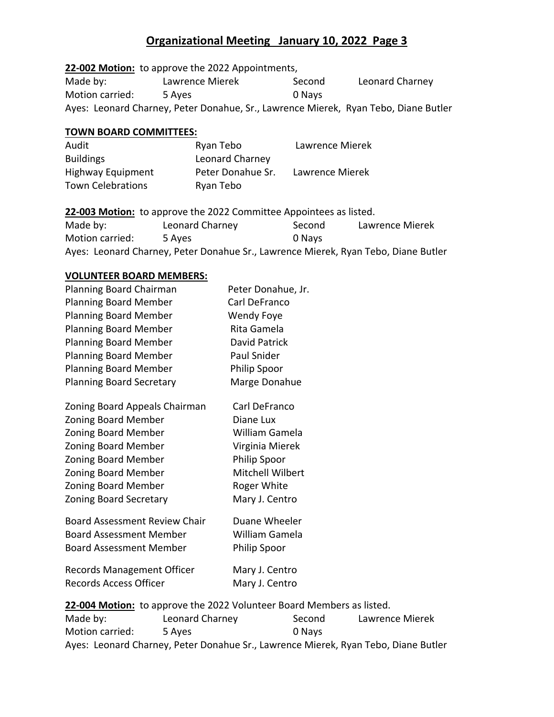# **Organizational Meeting January 10, 2022 Page 3**

**22‐002 Motion:** to approve the 2022 Appointments, Made by: Lawrence Mierek Second Leonard Charney Motion carried: 5 Ayes 0 Nays Ayes: Leonard Charney, Peter Donahue, Sr., Lawrence Mierek, Ryan Tebo, Diane Butler

## **TOWN BOARD COMMITTEES:**

| Audit                    | Ryan Tebo         | Lawrence Mierek |
|--------------------------|-------------------|-----------------|
| <b>Buildings</b>         | Leonard Charney   |                 |
| <b>Highway Equipment</b> | Peter Donahue Sr. | Lawrence Mierek |
| <b>Town Celebrations</b> | Ryan Tebo         |                 |

22-003 Motion: to approve the 2022 Committee Appointees as listed. Made by: Leonard Charney Second Lawrence Mierek Motion carried: 5 Ayes 0 Nays Ayes: Leonard Charney, Peter Donahue Sr., Lawrence Mierek, Ryan Tebo, Diane Butler

### **VOLUNTEER BOARD MEMBERS:**

| Planning Board Chairman                                               | Peter Donahue, Jr.  |  |  |
|-----------------------------------------------------------------------|---------------------|--|--|
| <b>Planning Board Member</b>                                          | Carl DeFranco       |  |  |
| <b>Planning Board Member</b>                                          | Wendy Foye          |  |  |
| <b>Planning Board Member</b>                                          | Rita Gamela         |  |  |
| <b>Planning Board Member</b>                                          | David Patrick       |  |  |
| <b>Planning Board Member</b>                                          | Paul Snider         |  |  |
| <b>Planning Board Member</b>                                          | <b>Philip Spoor</b> |  |  |
| <b>Planning Board Secretary</b>                                       | Marge Donahue       |  |  |
| Zoning Board Appeals Chairman                                         | Carl DeFranco       |  |  |
| <b>Zoning Board Member</b>                                            | Diane Lux           |  |  |
| <b>Zoning Board Member</b>                                            | William Gamela      |  |  |
| <b>Zoning Board Member</b>                                            | Virginia Mierek     |  |  |
| Zoning Board Member                                                   | <b>Philip Spoor</b> |  |  |
| <b>Zoning Board Member</b>                                            | Mitchell Wilbert    |  |  |
| <b>Zoning Board Member</b>                                            | Roger White         |  |  |
| <b>Zoning Board Secretary</b>                                         | Mary J. Centro      |  |  |
| <b>Board Assessment Review Chair</b>                                  | Duane Wheeler       |  |  |
| <b>Board Assessment Member</b>                                        | William Gamela      |  |  |
| <b>Board Assessment Member</b>                                        | <b>Philip Spoor</b> |  |  |
| <b>Records Management Officer</b>                                     | Mary J. Centro      |  |  |
| <b>Records Access Officer</b>                                         | Mary J. Centro      |  |  |
| 22-004 Motion: to approve the 2022 Volunteer Board Members as listed. |                     |  |  |

Made by: Leonard Charney Second Lawrence Mierek Motion carried: 5 Ayes 0 Nays Ayes: Leonard Charney, Peter Donahue Sr., Lawrence Mierek, Ryan Tebo, Diane Butler